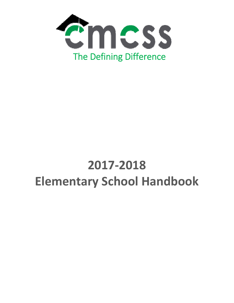

# **2017‐2018 Elementary School Handbook**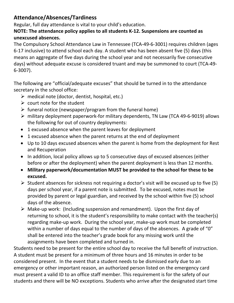# **Attendance/Absences/Tardiness**

Regular, full day attendance is vital to your child's education.

#### **NOTE: The attendance policy applies to all students K‐12. Suspensions are counted as unexcused absences.**

The Compulsory School Attendance Law in Tennessee (TCA‐49‐6‐3001) requires children (ages 6‐17 inclusive) to attend school each day. A student who has been absent five (5) days (this means an aggregate of five days during the school year and not necessarily five consecutive days) without adequate excuse is considered truant and may be summoned to court (TCA‐49‐ 6‐3007).

The following are "official/adequate excuses" that should be turned in to the attendance secretary in the school office:

- $\triangleright$  medical note (doctor, dentist, hospital, etc.)
- $\triangleright$  court note for the student
- $\triangleright$  funeral notice (newspaper/program from the funeral home)
- military deployment paperwork‐for military dependents, TN Law (TCA 49‐6‐9019) allows the following for out of country deployments:
- 1 excused absence when the parent leaves for deployment
- 1 excused absence when the parent returns at the end of deployment
- Up to 10 days excused absences when the parent is home from the deployment for Rest and Recuperation
- In addition, local policy allows up to 5 consecutive days of excused absences (either before or after the deployment) when the parent deployment is less than 12 months.
- **Military paperwork/documentation MUST be provided to the school for these to be excused.**
- $\triangleright$  Student absences for sickness not requiring a doctor's visit will be excused up to five (5) days per school year, if a parent note is submitted. To be excused, notes must be provided by parent or legal guardian, and received by the school within five (5) school days of the absence.
- Make‐up work: (Including suspension and remandment). Upon the first day of returning to school, it is the student's responsibility to make contact with the teacher(s) regarding make‐up work. During the school year, make‐up work must be completed within a number of days equal to the number of days of the absences. A grade of "0" shall be entered into the teacher's grade book for any missing work until the assignments have been completed and turned in.

Students need to be present for the entire school day to receive the full benefit of instruction. A student must be present for a minimum of three hours and 16 minutes in order to be considered present. In the event that a student needs to be dismissed early due to an emergency or other important reason, an authorized person listed on the emergency card must present a valid ID to an office staff member. This requirement is for the safety of our students and there will be NO exceptions. Students who arrive after the designated start time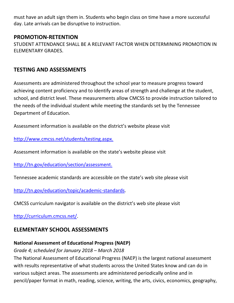must have an adult sign them in. Students who begin class on time have a more successful day. Late arrivals can be disruptive to instruction.

#### **PROMOTION‐RETENTION**

STUDENT ATTENDANCE SHALL BE A RELEVANT FACTOR WHEN DETERMINING PROMOTION IN ELEMENTARY GRADES.

## **TESTING AND ASSESSMENTS**

Assessments are administered throughout the school year to measure progress toward achieving content proficiency and to identify areas of strength and challenge at the student, school, and district level. These measurements allow CMCSS to provide instruction tailored to the needs of the individual student while meeting the standards set by the Tennessee Department of Education.

Assessment information is available on the district's website please visit

http://www.cmcss.net/students/testing.aspx.

Assessment information is available on the state's website please visit

http://tn.gov/education/section/assessment.

Tennessee academic standards are accessible on the state's web site please visit

http://tn.gov/education/topic/academic‐standards.

CMCSS curriculum navigator is available on the district's web site please visit

http://curriculum.cmcss.net/.

# **ELEMENTARY SCHOOL ASSESSMENTS**

## **National Assessment of Educational Progress (NAEP)**

## *Grade 4; scheduled for January 2018 – March 2018*

The National Assessment of Educational Progress (NAEP) is the largest national assessment with results representative of what students across the United States know and can do in various subject areas. The assessments are administered periodically online and in pencil/paper format in math, reading, science, writing, the arts, civics, economics, geography,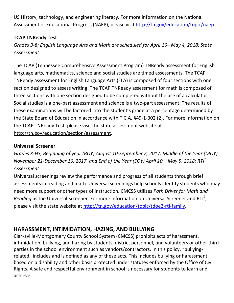US History, technology, and engineering literacy. For more information on the National Assessment of Educational Progress (NAEP), please visit http://tn.gov/education/topic/naep.

#### **TCAP TNReady Test**

*Grades 3‐8; English Language Arts and Math are scheduled for April 16– May 4, 2018; State Assessment*

The TCAP (Tennessee Comprehensive Assessment Program) TNReady assessment for English language arts, mathematics, science and social studies are timed assessments. The TCAP TNReady assessment for English Language Arts (ELA) is composed of four sections with one section designed to assess writing. The TCAP TNReady assessment for math is composed of three sections with one section designed to be completed without the use of a calculator. Social studies is a one‐part assessment and science is a two‐part assessment. The results of these examinations will be factored into the student's grade at a percentage determined by the State Board of Education in accordance with T.C.A. §49‐1‐302 (2). For more information on the TCAP TNReady Test, please visit the state assessment website at http://tn.gov/education/section/assessment.

#### **Universal Screener**

*Grades K‐HS; Beginning of year (BOY) August 10‐September 2, 2017, Middle of the Year (MOY)* November 21-December 16, 2017, and End of the Year (EOY) April 10 - May 5, 2018; RTI<sup>2</sup> *Assessment*

Universal screenings review the performance and progress of all students through brief assessments in reading and math. Universal screenings help schools identify students who may need more support or other types of instruction. CMCSS utilizes *Path Driver for Math and* Reading as the Universal Screener. For more information on Universal Screener and RTI<sup>2</sup>, please visit the state website at http://tn.gov/education/topic/tdoe2‐rti‐family.

# **HARASSMENT, INTIMIDATION, HAZING, AND BULLYING**

Clarksville‐Montgomery County School System (CMCSS) prohibits acts of harassment, intimidation, bullying, and hazing by students, district personnel, and volunteers or other third parties in the school environment such as vendors/contractors. In this policy, "bullyingrelated" includes and is defined as any of these acts. This includes bullying or harassment based on a disability and other basis protected under statutes enforced by the Office of Civil Rights. A safe and respectful environment in school is necessary for students to learn and achieve.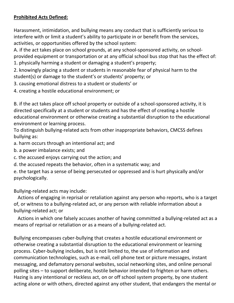#### **Prohibited Acts Defined:**

Harassment, intimidation, and bullying means any conduct that is sufficiently serious to interfere with or limit a student's ability to participate in or benefit from the services, activities, or opportunities offered by the school system:

A. if the act takes place on school grounds, at any school‐sponsored activity, on school‐ provided equipment or transportation or at any official school bus stop that has the effect of: 1. physically harming a student or damaging a student's property;

2. knowingly placing a student or students in reasonable fear of physical harm to the student(s) or damage to the student's or students' property; or

- 3. causing emotional distress to a student or students' or
- 4. creating a hostile educational environment; or

B. if the act takes place off school property or outside of a school‐sponsored activity, it is directed specifically at a student or students and has the effect of creating a hostile educational environment or otherwise creating a substantial disruption to the educational environment or learning process.

To distinguish bullying‐related acts from other inappropriate behaviors, CMCSS defines bullying as:

- a. harm occurs through an intentional act; and
- b. a power imbalance exists; and
- c. the accused enjoys carrying out the action; and
- d. the accused repeats the behavior, often in a systematic way; and

e. the target has a sense of being persecuted or oppressed and is hurt physically and/or psychologically.

#### Bullying‐related acts may include:

 Actions of engaging in reprisal or retaliation against any person who reports, who is a target of, or witness to a bullying‐related act, or any person with reliable information about a bullying‐related act; or

 Actions in which one falsely accuses another of having committed a bullying‐related act as a means of reprisal or retaliation or as a means of a bullying-related act.

Bullying encompasses cyber‐bullying that creates a hostile educational environment or otherwise creating a substantial disruption to the educational environment or learning process. Cyber‐bullying includes, but is not limited to, the use of information and communication technologies, such as e‐mail, cell phone text or picture messages, instant messaging, and defamatory personal websites, social networking sites, and online personal polling sites – to support deliberate, hostile behavior intended to frighten or harm others. Hazing is any intentional or reckless act, on or off school system property, by one student acting alone or with others, directed against any other student, that endangers the mental or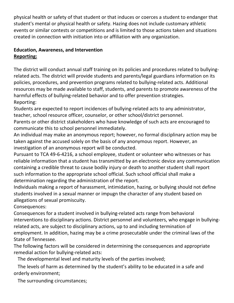physical health or safety of that student or that induces or coerces a student to endanger that student's mental or physical health or safety. Hazing does not include customary athletic events or similar contests or competitions and is limited to those actions taken and situations created in connection with initiation into or affiliation with any organization.

#### **Education, Awareness, and Intervention Reporting:**

The district will conduct annual staff training on its policies and procedures related to bullying‐ related acts. The district will provide students and parents/legal guardians information on its policies, procedures, and prevention programs related to bullying‐related acts. Additional resources may be made available to staff, students, and parents to promote awareness of the harmful effects of bullying‐related behavior and to offer prevention strategies. Reporting:

Students are expected to report incidences of bullying‐related acts to any administrator, teacher, school resource officer, counselor, or other school/district personnel.

Parents or other district stakeholders who have knowledge of such acts are encouraged to communicate this to school personnel immediately.

An individual may make an anonymous report; however, no formal disciplinary action may be taken against the accused solely on the basis of any anonymous report. However, an investigation of an anonymous report will be conducted.

Pursuant to TCA 49‐6‐4216, a school employee, student or volunteer who witnesses or has reliable information that a student has transmitted by an electronic device any communication containing a credible threat to cause bodily injury or death to another student shall report such information to the appropriate school official. Such school official shall make a determination regarding the administration of the report.

Individuals making a report of harassment, intimidation, hazing, or bullying should not define students involved in a sexual manner or impugn the character of any student based on allegations of sexual promiscuity.

Consequences:

Consequences for a student involved in bullying‐related acts range from behavioral interventions to disciplinary actions. District personnel and volunteers, who engage in bullyingrelated acts, are subject to disciplinary actions, up to and including termination of employment. In addition, hazing may be a crime prosecutable under the criminal laws of the State of Tennessee.

The following factors will be considered in determining the consequences and appropriate remedial action for bullying‐related acts:

The developmental level and maturity levels of the parties involved;

 The levels of harm as determined by the student's ability to be educated in a safe and orderly environment;

The surrounding circumstances;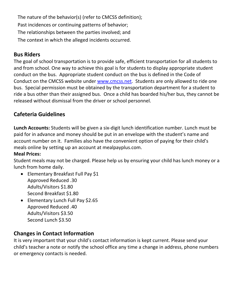The nature of the behavior(s) (refer to CMCSS definition); Past incidences or continuing patterns of behavior; The relationships between the parties involved; and The context in which the alleged incidents occurred.

## **Bus Riders**

The goal of school transportation is to provide safe, efficient transportation for all students to and from school. One way to achieve this goal is for students to display appropriate student conduct on the bus. Appropriate student conduct on the bus is defined in the Code of Conduct on the CMCSS website under www.cmcss.net. Students are only allowed to ride one bus. Special permission must be obtained by the transportation department for a student to ride a bus other than their assigned bus. Once a child has boarded his/her bus, they cannot be released without dismissal from the driver or school personnel.

# **Cafeteria Guidelines**

**Lunch Accounts:** Students will be given a six‐digit lunch identification number. Lunch must be paid for in advance and money should be put in an envelope with the student's name and account number on it. Families also have the convenient option of paying for their child's meals online by setting up an account at mealpayplus.com.

#### **Meal Prices:**

Student meals may not be charged. Please help us by ensuring your child has lunch money or a lunch from home daily.

- Elementary Breakfast Full Pay \$1 Approved Reduced .30 Adults/Visitors \$1.80 Second Breakfast \$1.80
- Elementary Lunch Full Pay \$2.65 Approved Reduced .40 Adults/Visitors \$3.50 Second Lunch \$3.50

# **Changes in Contact Information**

It is very important that your child's contact information is kept current. Please send your child's teacher a note or notify the school office any time a change in address, phone numbers or emergency contacts is needed.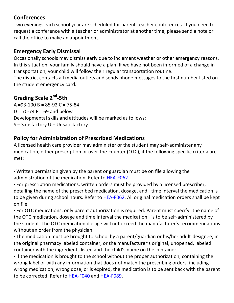## **Conferences**

Two evenings each school year are scheduled for parent‐teacher conferences. If you need to request a conference with a teacher or administrator at another time, please send a note or call the office to make an appointment.

## **Emergency Early Dismissal**

Occasionally schools may dismiss early due to inclement weather or other emergency reasons. In this situation, your family should have a plan. If we have not been informed of a change in transportation, your child will follow their regular transportation routine. The district contacts all media outlets and sends phone messages to the first number listed on

the student emergency card.

# **Grading Scale 2nd‐5th**

 $A = 93 - 100 B = 85 - 92 C = 75 - 84$  $D = 70-74$  F = 69 and below Developmental skills and attitudes will be marked as follows: S – Satisfactory U – Unsatisfactory

# **Policy for Administration of Prescribed Medications**

A licensed health care provider may administer or the student may self‐administer any medication, either prescription or over-the-counter (OTC), if the following specific criteria are met:

**∙** Written permission given by the parent or guardian must be on file allowing the administration of the medication. Refer to HEA‐F062.

**∙** For prescription medications, written orders must be provided by a licensed prescriber, detailing the name of the prescribed medication, dosage, and time interval the medication is to be given during school hours. Refer to HEA-F062. All original medication orders shall be kept on file.

**∙** For OTC medications, only parent authorization is required. Parent must specify the name of the OTC medication, dosage and time interval the medication is to be self‐administered by the student. The OTC medication dosage will not exceed the manufacturer's recommendations without an order from the physician.

**∙** The medication must be brought to school by a parent/guardian or his/her adult designee, in the original pharmacy labeled container, or the manufacturer's original, unopened, labeled container with the ingredients listed and the child's name on the container.

**∙** If the medication is brought to the school without the proper authorization, containing the wrong label or with any information that does not match the prescribing orders, including wrong medication, wrong dose, or is expired, the medication is to be sent back with the parent to be corrected. Refer to HEA‐F040 and HEA‐F089.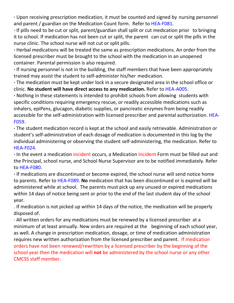**∙** Upon receiving prescription medication, it must be counted and signed by nursing personnel and parent / guardian on the Medication Count form. Refer to HEA-F081.

**∙** If pills need to be cut or split, parent/guardian shall split or cut medication prior to bringing it to school. If medication has not been cut or split, the parent can cut or split the pills in the nurse clinic. The school nurse will not cut or split pills.

**∙** Herbal medications will be treated the same as prescription medications. An order from the licensed prescriber must be brought to the school with the medication in an unopened container. Parental permission is also required.

**∙** If nursing personnel is not in the building, the staff members that have been appropriately trained may assist the student to self‐administer his/her medication.

**∙** The medication must be kept under lock in a secure designated area in the school office or clinic. **No student will have direct access to any medication.** Refer to HEA‐A005.

**∙** Nothing in these statements is intended to prohibit schools from allowing students with specific conditions requiring emergency rescue, or readily accessible medications such as inhalers, epiPens, glucagon, diabetic supplies, or pancreatic enzymes from being readily accessible for the self-administration with licensed prescriber and parental authorization. HEA-F059.

**∙** The student medication record is kept at the school and easily retrievable. Administration or student's self‐administration of each dosage of medication is documented in this log by the individual administering or observing the student self-administering, the medication. Refer to HEA‐F024.

**∙** In the event a medication incident occurs, a Medication Incident Form must be filled out and the Principal, school nurse, and School Nurse Supervisor are to be notified immediately. Refer to HEA‐F080.

**∙** If medications are discontinued or become expired, the school nurse will send notice home to parents. Refer to HEA‐F089. **No** medication that has been discontinued or is expired will be administered while at school. The parents must pick up any unused or expired medications within 14 days of notice being sent or prior to the end of the last student day of the school year.

. If medication is not picked up within 14 days of the notice, the medication will be properly disposed of.

∙ All written orders for any medications must be renewed by a licensed prescriber at a minimum of at least annually. New orders are required at the beginning of each school year, as well. A change in prescription medication, dosage, or time of medication administration requires new written authorization from the licensed prescriber and parent. If medication orders have not been renewed/rewritten by a licensed prescriber by the beginning of the school year then the medication will **not** be administered by the school nurse or any other CMCSS staff member.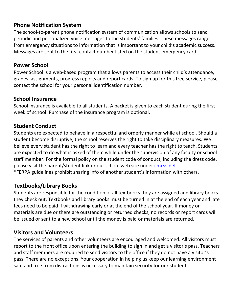## **Phone Notification System**

The school-to-parent phone notification system of communication allows schools to send periodic and personalized voice messages to the students' families. These messages range from emergency situations to information that is important to your child's academic success. Messages are sent to the first contact number listed on the student emergency card.

## **Power School**

Power School is a web‐based program that allows parents to access their child's attendance, grades, assignments, progress reports and report cards. To sign up for this free service, please contact the school for your personal identification number.

## **School Insurance**

School insurance is available to all students. A packet is given to each student during the first week of school. Purchase of the insurance program is optional.

# **Student Conduct**

Students are expected to behave in a respectful and orderly manner while at school. Should a student become disruptive, the school reserves the right to take disciplinary measures. We believe every student has the right to learn and every teacher has the right to teach. Students are expected to do what is asked of them while under the supervision of any faculty or school staff member. For the formal policy on the student code of conduct, including the dress code, please visit the parent/student link or our school web site under cmcss.net. \*FERPA guidelines prohibit sharing info of another student's information with others.

# **Textbooks/Library Books**

Students are responsible for the condition of all textbooks they are assigned and library books they check out. Textbooks and library books must be turned in at the end of each year and late fees need to be paid if withdrawing early or at the end of the school year. If money or materials are due or there are outstanding or returned checks, no records or report cards will be issued or sent to a new school until the money is paid or materials are returned.

# **Visitors and Volunteers**

The services of parents and other volunteers are encouraged and welcomed. All visitors must report to the front office upon entering the building to sign in and get a visitor's pass. Teachers and staff members are required to send visitors to the office if they do not have a visitor's pass. There are no exceptions. Your cooperation in helping us keep our learning environment safe and free from distractions is necessary to maintain security for our students.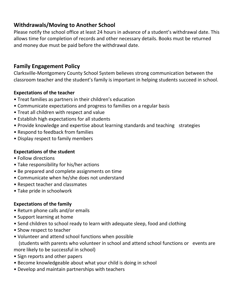# **Withdrawals/Moving to Another School**

Please notify the school office at least 24 hours in advance of a student's withdrawal date. This allows time for completion of records and other necessary details. Books must be returned and money due must be paid before the withdrawal date.

## **Family Engagement Policy**

Clarksville‐Montgomery County School System believes strong communication between the classroom teacher and the student's family is important in helping students succeed in school.

#### **Expectations of the teacher**

- Treat families as partners in their children's education
- Communicate expectations and progress to families on a regular basis
- Treat all children with respect and value
- Establish high expectations for all students
- Provide knowledge and expertise about learning standards and teaching strategies
- Respond to feedback from families
- Display respect to family members

#### **Expectations of the student**

- Follow directions
- Take responsibility for his/her actions
- Be prepared and complete assignments on time
- Communicate when he/she does not understand
- Respect teacher and classmates
- Take pride in schoolwork

#### **Expectations of the family**

- Return phone calls and/or emails
- Support learning at home
- Send children to school ready to learn with adequate sleep, food and clothing
- Show respect to teacher
- Volunteer and attend school functions when possible

 (students with parents who volunteer in school and attend school functions or events are more likely to be successful in school)

- Sign reports and other papers
- Become knowledgeable about what your child is doing in school
- Develop and maintain partnerships with teachers